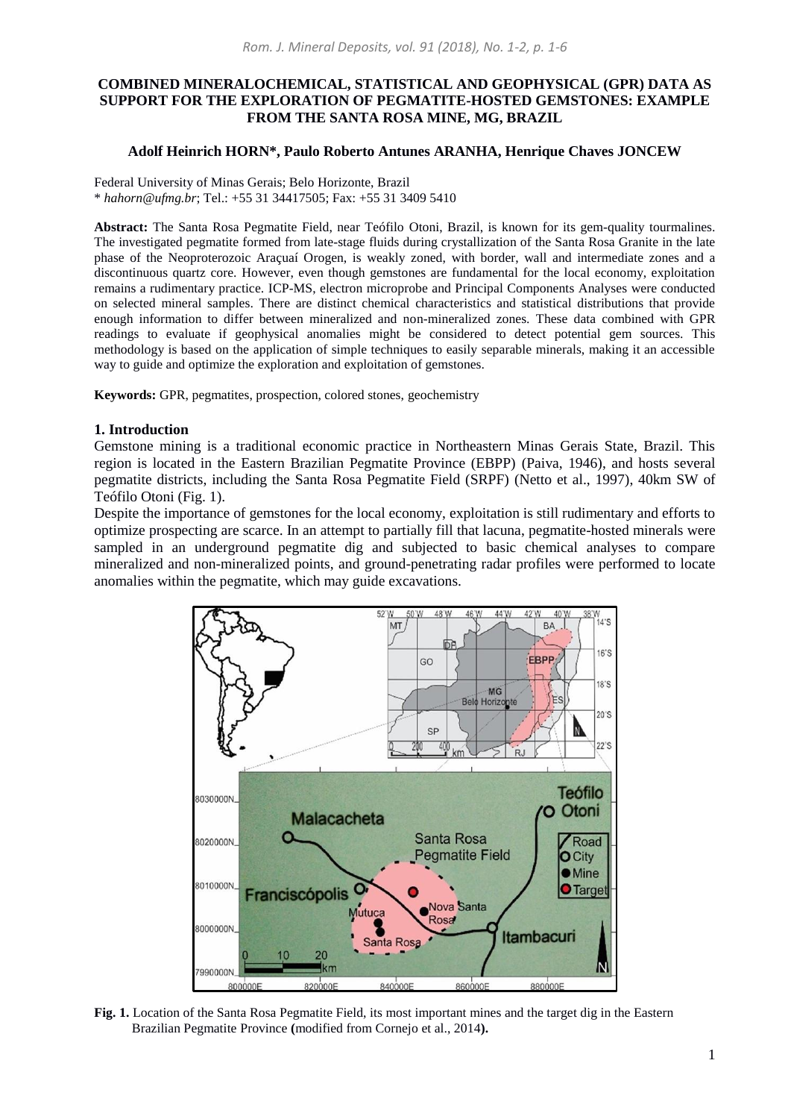# **COMBINED MINERALOCHEMICAL, STATISTICAL AND GEOPHYSICAL (GPR) DATA AS SUPPORT FOR THE EXPLORATION OF PEGMATITE-HOSTED GEMSTONES: EXAMPLE FROM THE SANTA ROSA MINE, MG, BRAZIL**

## **Adolf Heinrich HORN\*, Paulo Roberto Antunes ARANHA, Henrique Chaves JONCEW**

Federal University of Minas Gerais; Belo Horizonte, Brazil \* *[hahorn@ufmg.br](mailto:hahorn@ufmg.br)*; Tel.: +55 31 34417505; Fax: +55 31 3409 5410

**Abstract:** The Santa Rosa Pegmatite Field, near Teófilo Otoni, Brazil, is known for its gem-quality tourmalines. The investigated pegmatite formed from late-stage fluids during crystallization of the Santa Rosa Granite in the late phase of the Neoproterozoic Araçuaí Orogen, is weakly zoned, with border, wall and intermediate zones and a discontinuous quartz core. However, even though gemstones are fundamental for the local economy, exploitation remains a rudimentary practice. ICP-MS, electron microprobe and Principal Components Analyses were conducted on selected mineral samples. There are distinct chemical characteristics and statistical distributions that provide enough information to differ between mineralized and non-mineralized zones. These data combined with GPR readings to evaluate if geophysical anomalies might be considered to detect potential gem sources. This methodology is based on the application of simple techniques to easily separable minerals, making it an accessible way to guide and optimize the exploration and exploitation of gemstones.

**Keywords:** GPR, pegmatites, prospection, colored stones, geochemistry

#### **1. Introduction**

Gemstone mining is a traditional economic practice in Northeastern Minas Gerais State, Brazil. This region is located in the Eastern Brazilian Pegmatite Province (EBPP) (Paiva, 1946), and hosts several pegmatite districts, including the Santa Rosa Pegmatite Field (SRPF) (Netto et al., 1997), 40km SW of Teófilo Otoni (Fig. 1).

Despite the importance of gemstones for the local economy, exploitation is still rudimentary and efforts to optimize prospecting are scarce. In an attempt to partially fill that lacuna, pegmatite-hosted minerals were sampled in an underground pegmatite dig and subjected to basic chemical analyses to compare mineralized and non-mineralized points, and ground-penetrating radar profiles were performed to locate anomalies within the pegmatite, which may guide excavations.



**Fig. 1.** Location of the Santa Rosa Pegmatite Field, its most important mines and the target dig in the Eastern Brazilian Pegmatite Province **(**modified from Cornejo et al., 2014**).**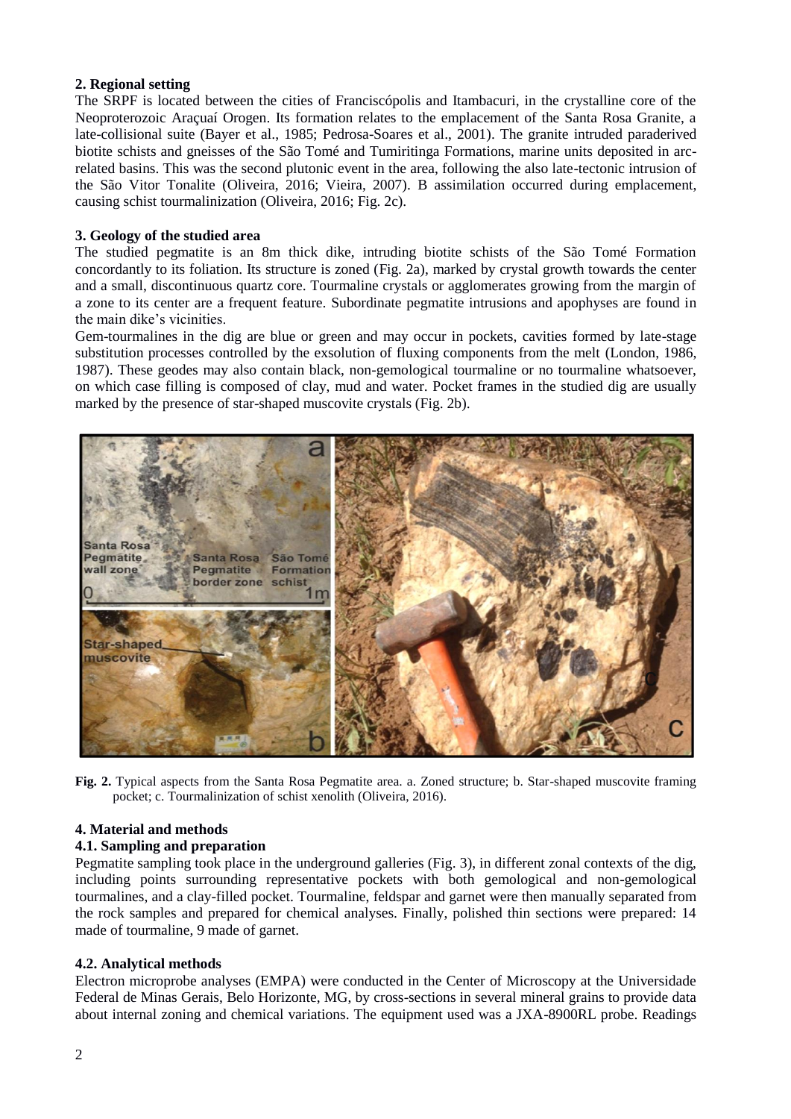# **2. Regional setting**

The SRPF is located between the cities of Franciscópolis and Itambacuri, in the crystalline core of the Neoproterozoic Araçuaí Orogen. Its formation relates to the emplacement of the Santa Rosa Granite, a late-collisional suite (Bayer et al., 1985; Pedrosa-Soares et al., 2001). The granite intruded paraderived biotite schists and gneisses of the São Tomé and Tumiritinga Formations, marine units deposited in arcrelated basins. This was the second plutonic event in the area, following the also late-tectonic intrusion of the São Vitor Tonalite (Oliveira, 2016; Vieira, 2007). B assimilation occurred during emplacement, causing schist tourmalinization (Oliveira, 2016; Fig. 2c).

# **3. Geology of the studied area**

The studied pegmatite is an 8m thick dike, intruding biotite schists of the São Tomé Formation concordantly to its foliation. Its structure is zoned (Fig. 2a), marked by crystal growth towards the center and a small, discontinuous quartz core. Tourmaline crystals or agglomerates growing from the margin of a zone to its center are a frequent feature. Subordinate pegmatite intrusions and apophyses are found in the main dike's vicinities.

Gem-tourmalines in the dig are blue or green and may occur in pockets, cavities formed by late-stage substitution processes controlled by the exsolution of fluxing components from the melt (London, 1986, 1987). These geodes may also contain black, non-gemological tourmaline or no tourmaline whatsoever, on which case filling is composed of clay, mud and water. Pocket frames in the studied dig are usually marked by the presence of star-shaped muscovite crystals (Fig. 2b).



**Fig. 2.** Typical aspects from the Santa Rosa Pegmatite area. a. Zoned structure; b. Star-shaped muscovite framing pocket; c. Tourmalinization of schist xenolith (Oliveira, 2016).

## **4. Material and methods**

## **4.1. Sampling and preparation**

Pegmatite sampling took place in the underground galleries (Fig. 3), in different zonal contexts of the dig, including points surrounding representative pockets with both gemological and non-gemological tourmalines, and a clay-filled pocket. Tourmaline, feldspar and garnet were then manually separated from the rock samples and prepared for chemical analyses. Finally, polished thin sections were prepared: 14 made of tourmaline, 9 made of garnet.

## **4.2. Analytical methods**

Electron microprobe analyses (EMPA) were conducted in the Center of Microscopy at the Universidade Federal de Minas Gerais, Belo Horizonte, MG, by cross-sections in several mineral grains to provide data about internal zoning and chemical variations. The equipment used was a JXA-8900RL probe. Readings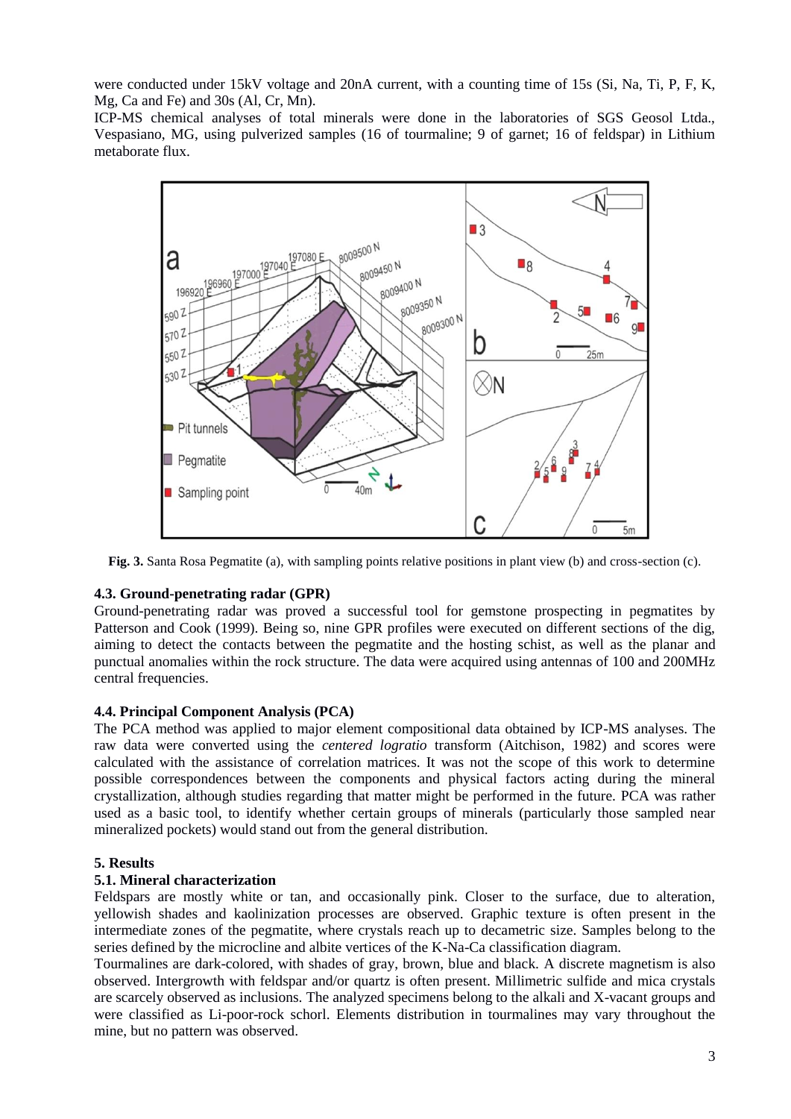were conducted under 15kV voltage and 20nA current, with a counting time of 15s (Si, Na, Ti, P, F, K, Mg, Ca and Fe) and 30s (Al, Cr, Mn).

ICP-MS chemical analyses of total minerals were done in the laboratories of SGS Geosol Ltda., Vespasiano, MG, using pulverized samples (16 of tourmaline; 9 of garnet; 16 of feldspar) in Lithium metaborate flux.



**Fig. 3.** Santa Rosa Pegmatite (a), with sampling points relative positions in plant view (b) and cross-section (c).

# **4.3. Ground-penetrating radar (GPR)**

Ground-penetrating radar was proved a successful tool for gemstone prospecting in pegmatites by Patterson and Cook (1999). Being so, nine GPR profiles were executed on different sections of the dig, aiming to detect the contacts between the pegmatite and the hosting schist, as well as the planar and punctual anomalies within the rock structure. The data were acquired using antennas of 100 and 200MHz central frequencies.

## **4.4. Principal Component Analysis (PCA)**

The PCA method was applied to major element compositional data obtained by ICP-MS analyses. The raw data were converted using the *centered logratio* transform (Aitchison, 1982) and scores were calculated with the assistance of correlation matrices. It was not the scope of this work to determine possible correspondences between the components and physical factors acting during the mineral crystallization, although studies regarding that matter might be performed in the future. PCA was rather used as a basic tool, to identify whether certain groups of minerals (particularly those sampled near mineralized pockets) would stand out from the general distribution.

## **5. Results**

## **5.1. Mineral characterization**

Feldspars are mostly white or tan, and occasionally pink. Closer to the surface, due to alteration, yellowish shades and kaolinization processes are observed. Graphic texture is often present in the intermediate zones of the pegmatite, where crystals reach up to decametric size. Samples belong to the series defined by the microcline and albite vertices of the K-Na-Ca classification diagram.

Tourmalines are dark-colored, with shades of gray, brown, blue and black. A discrete magnetism is also observed. Intergrowth with feldspar and/or quartz is often present. Millimetric sulfide and mica crystals are scarcely observed as inclusions. The analyzed specimens belong to the alkali and X-vacant groups and were classified as Li-poor-rock schorl. Elements distribution in tourmalines may vary throughout the mine, but no pattern was observed.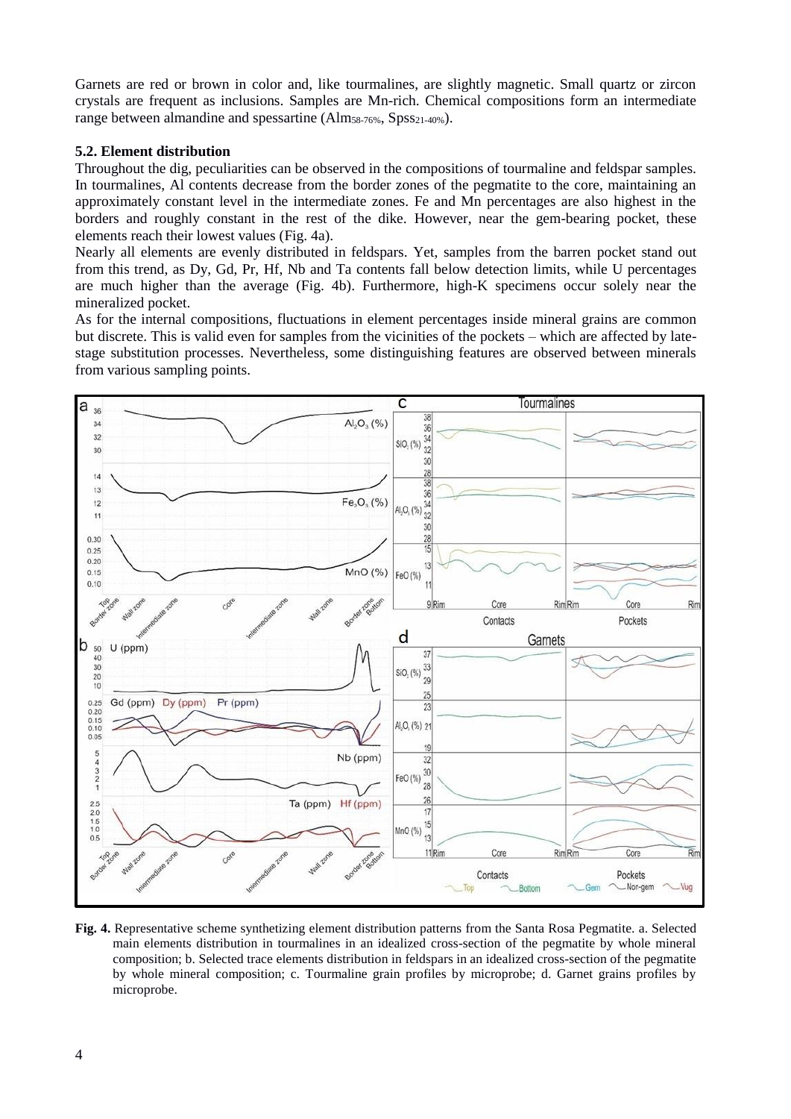Garnets are red or brown in color and, like tourmalines, are slightly magnetic. Small quartz or zircon crystals are frequent as inclusions. Samples are Mn-rich. Chemical compositions form an intermediate range between almandine and spessartine (Alm<sub>58-76%</sub>, Spss<sub>21-40%</sub>).

# **5.2. Element distribution**

Throughout the dig, peculiarities can be observed in the compositions of tourmaline and feldspar samples. In tourmalines, Al contents decrease from the border zones of the pegmatite to the core, maintaining an approximately constant level in the intermediate zones. Fe and Mn percentages are also highest in the borders and roughly constant in the rest of the dike. However, near the gem-bearing pocket, these elements reach their lowest values (Fig. 4a).

Nearly all elements are evenly distributed in feldspars. Yet, samples from the barren pocket stand out from this trend, as Dy, Gd, Pr, Hf, Nb and Ta contents fall below detection limits, while U percentages are much higher than the average (Fig. 4b). Furthermore, high-K specimens occur solely near the mineralized pocket.

As for the internal compositions, fluctuations in element percentages inside mineral grains are common but discrete. This is valid even for samples from the vicinities of the pockets – which are affected by latestage substitution processes. Nevertheless, some distinguishing features are observed between minerals from various sampling points.



**Fig. 4.** Representative scheme synthetizing element distribution patterns from the Santa Rosa Pegmatite. a. Selected main elements distribution in tourmalines in an idealized cross-section of the pegmatite by whole mineral composition; b. Selected trace elements distribution in feldspars in an idealized cross-section of the pegmatite by whole mineral composition; c. Tourmaline grain profiles by microprobe; d. Garnet grains profiles by microprobe.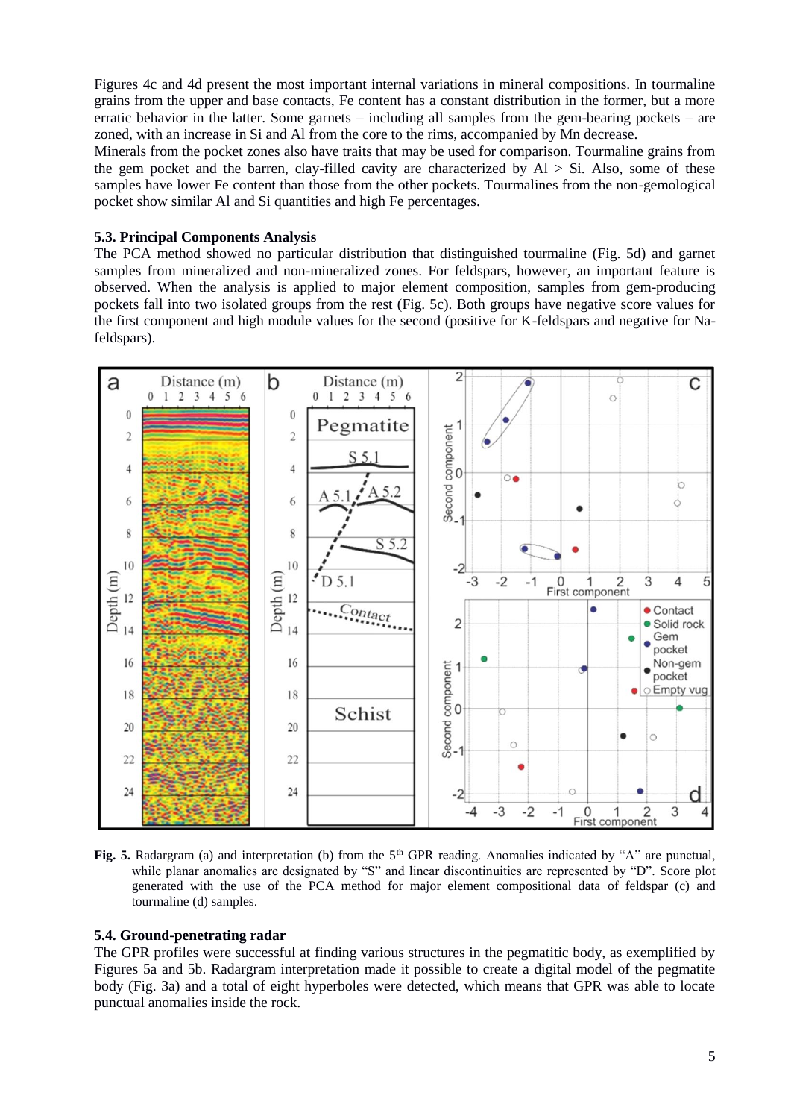Figures 4c and 4d present the most important internal variations in mineral compositions. In tourmaline grains from the upper and base contacts, Fe content has a constant distribution in the former, but a more erratic behavior in the latter. Some garnets – including all samples from the gem-bearing pockets – are zoned, with an increase in Si and Al from the core to the rims, accompanied by Mn decrease.

Minerals from the pocket zones also have traits that may be used for comparison. Tourmaline grains from the gem pocket and the barren, clay-filled cavity are characterized by  $Al > Si$ . Also, some of these samples have lower Fe content than those from the other pockets. Tourmalines from the non-gemological pocket show similar Al and Si quantities and high Fe percentages.

# **5.3. Principal Components Analysis**

The PCA method showed no particular distribution that distinguished tourmaline (Fig. 5d) and garnet samples from mineralized and non-mineralized zones. For feldspars, however, an important feature is observed. When the analysis is applied to major element composition, samples from gem-producing pockets fall into two isolated groups from the rest (Fig. 5c). Both groups have negative score values for the first component and high module values for the second (positive for K-feldspars and negative for Nafeldspars).



**Fig. 5.** Radargram (a) and interpretation (b) from the 5<sup>th</sup> GPR reading. Anomalies indicated by "A" are punctual, while planar anomalies are designated by "S" and linear discontinuities are represented by "D". Score plot generated with the use of the PCA method for major element compositional data of feldspar (c) and tourmaline (d) samples.

## **5.4. Ground-penetrating radar**

The GPR profiles were successful at finding various structures in the pegmatitic body, as exemplified by Figures 5a and 5b. Radargram interpretation made it possible to create a digital model of the pegmatite body (Fig. 3a) and a total of eight hyperboles were detected, which means that GPR was able to locate punctual anomalies inside the rock.